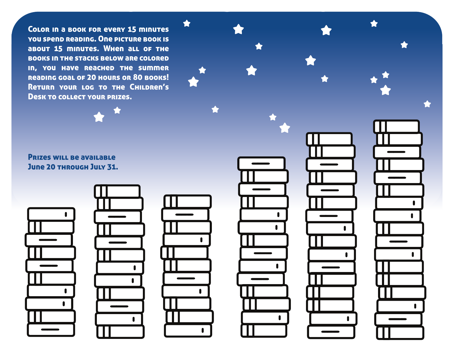Color in a book for every 15 minutes you spend reading. One picture book is about 15 minutes. When all of the books in the stacks below are colored in, you have reached the summer reading goal of 20 hours or 80 books! Return your log to the Children's Desk to collect your prizes.

Prizes will be available June 20 THROUGH JULY 31.











 $\blacksquare$